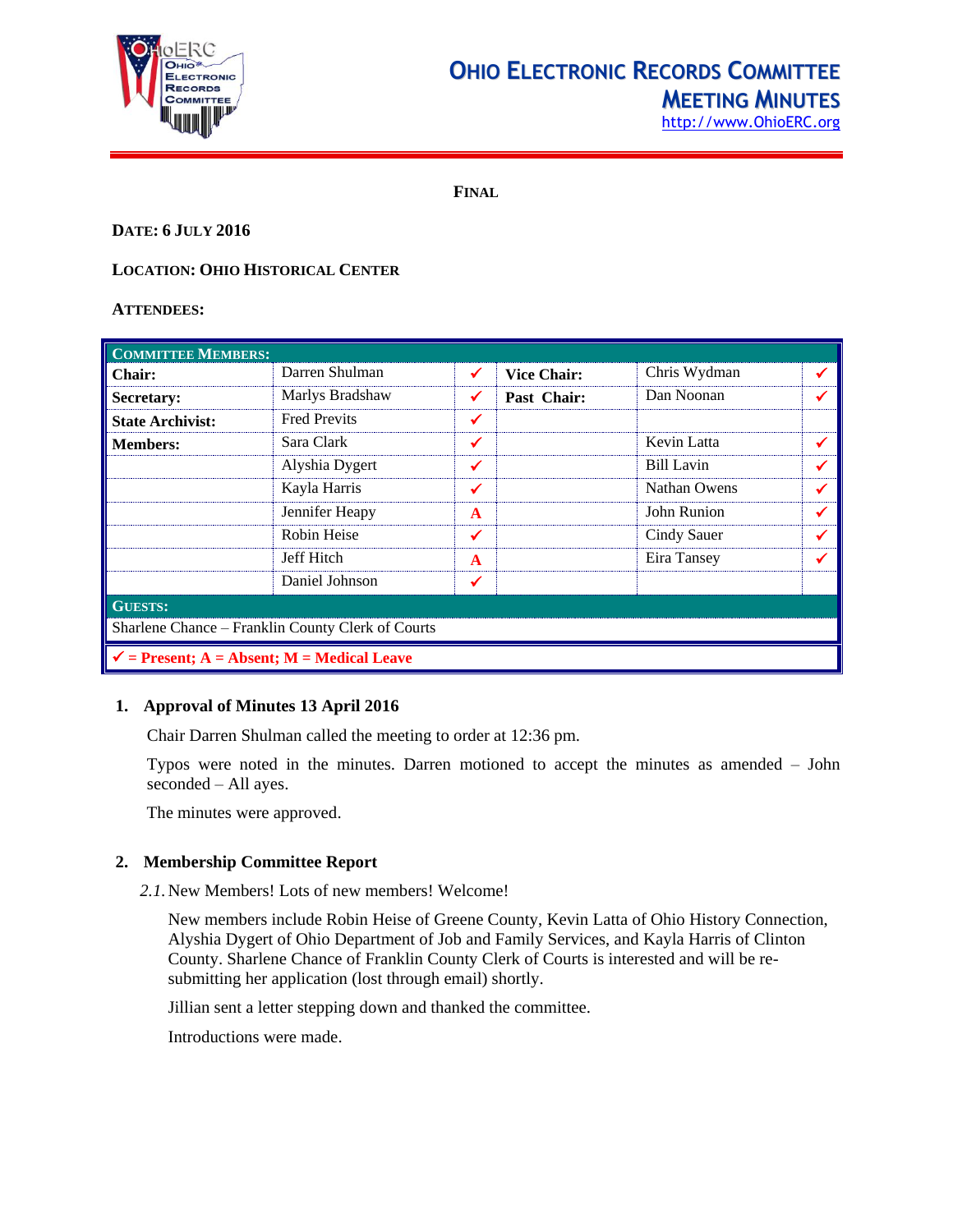

## **OHIO ELECTRONIC RECORDS COMMITTEE MEETING MINUTES**

[http://www.OhioERC.org](http://www.ohioerc.org/)

**FINAL**

## **DATE: 6 JULY 2016**

## **LOCATION: OHIO HISTORICAL CENTER**

#### **ATTENDEES:**

| <b>COMMITTEE MEMBERS:</b>                             |                     |              |                    |                   |   |  |
|-------------------------------------------------------|---------------------|--------------|--------------------|-------------------|---|--|
| <b>Chair:</b>                                         | Darren Shulman      | ✔            | <b>Vice Chair:</b> | Chris Wydman      | ✔ |  |
| Secretary:                                            | Marlys Bradshaw     | ✔            | Past Chair:        | Dan Noonan        |   |  |
| <b>State Archivist:</b>                               | <b>Fred Previts</b> | ✔            |                    |                   |   |  |
| <b>Members:</b>                                       | Sara Clark          | ✔            |                    | Kevin Latta       | ✔ |  |
|                                                       | Alyshia Dygert      | ✔            |                    | <b>Bill Lavin</b> | √ |  |
|                                                       | Kayla Harris        | ✓            |                    | Nathan Owens      |   |  |
|                                                       | Jennifer Heapy      | $\mathbf{A}$ |                    | John Runion       | ✔ |  |
|                                                       | Robin Heise         | ✓            |                    | Cindy Sauer       |   |  |
|                                                       | Jeff Hitch          | $\mathbf{A}$ |                    | Eira Tansey       |   |  |
|                                                       | Daniel Johnson      |              |                    |                   |   |  |
| <b>GUESTS:</b>                                        |                     |              |                    |                   |   |  |
| Sharlene Chance – Franklin County Clerk of Courts     |                     |              |                    |                   |   |  |
| $\checkmark$ = Present; A = Absent; M = Medical Leave |                     |              |                    |                   |   |  |

## **1. Approval of Minutes 13 April 2016**

Chair Darren Shulman called the meeting to order at 12:36 pm.

Typos were noted in the minutes. Darren motioned to accept the minutes as amended – John seconded – All ayes.

The minutes were approved.

## **2. Membership Committee Report**

*2.1.*New Members! Lots of new members! Welcome!

New members include Robin Heise of Greene County, Kevin Latta of Ohio History Connection, Alyshia Dygert of Ohio Department of Job and Family Services, and Kayla Harris of Clinton County. Sharlene Chance of Franklin County Clerk of Courts is interested and will be resubmitting her application (lost through email) shortly.

Jillian sent a letter stepping down and thanked the committee.

Introductions were made.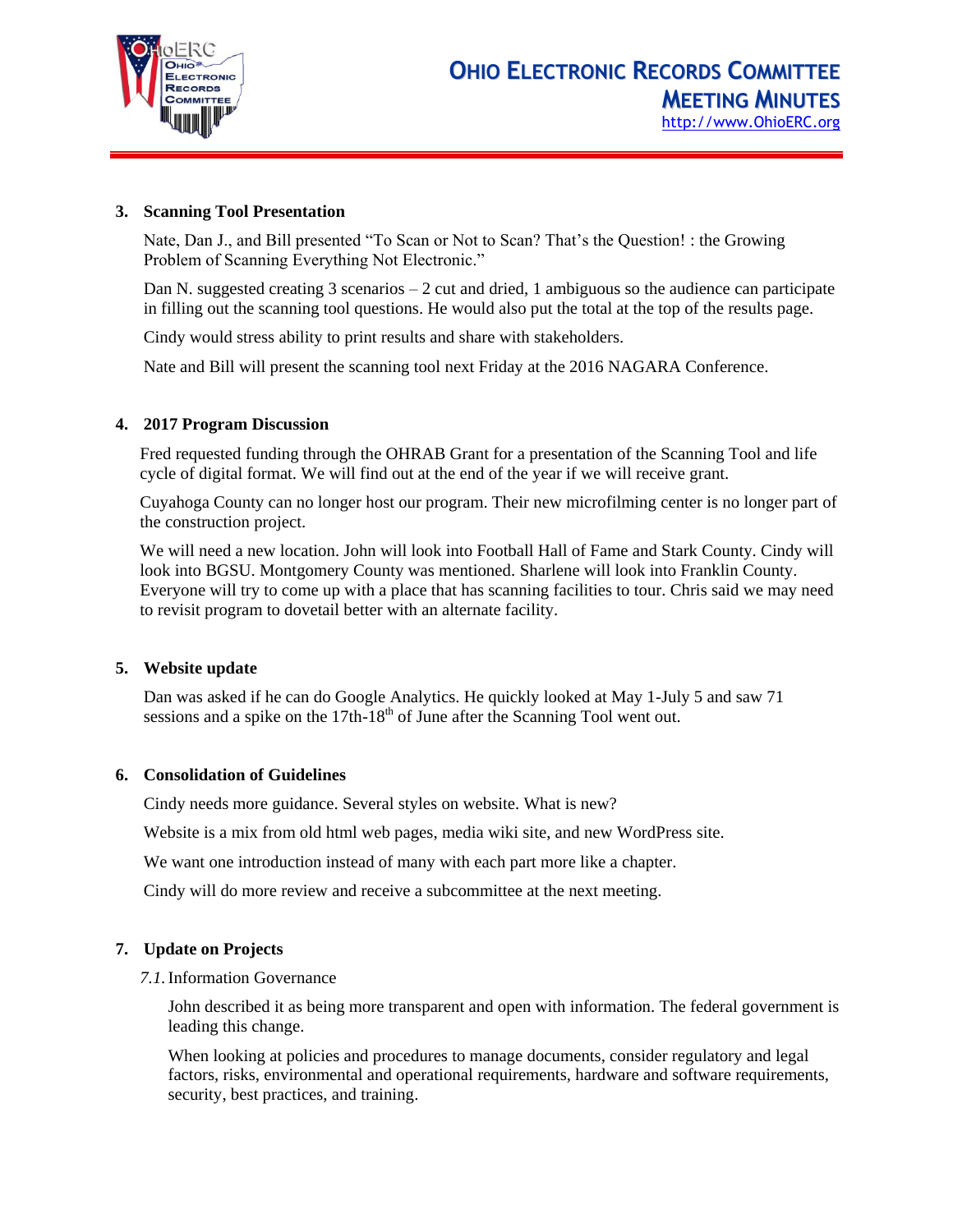

## **3. Scanning Tool Presentation**

Nate, Dan J., and Bill presented "To Scan or Not to Scan? That's the Question! : the Growing Problem of Scanning Everything Not Electronic."

Dan N. suggested creating 3 scenarios – 2 cut and dried, 1 ambiguous so the audience can participate in filling out the scanning tool questions. He would also put the total at the top of the results page.

Cindy would stress ability to print results and share with stakeholders.

Nate and Bill will present the scanning tool next Friday at the 2016 NAGARA Conference.

#### **4. 2017 Program Discussion**

Fred requested funding through the OHRAB Grant for a presentation of the Scanning Tool and life cycle of digital format. We will find out at the end of the year if we will receive grant.

Cuyahoga County can no longer host our program. Their new microfilming center is no longer part of the construction project.

We will need a new location. John will look into Football Hall of Fame and Stark County. Cindy will look into BGSU. Montgomery County was mentioned. Sharlene will look into Franklin County. Everyone will try to come up with a place that has scanning facilities to tour. Chris said we may need to revisit program to dovetail better with an alternate facility.

## **5. Website update**

Dan was asked if he can do Google Analytics. He quickly looked at May 1-July 5 and saw 71 sessions and a spike on the  $17th-18<sup>th</sup>$  of June after the Scanning Tool went out.

## **6. Consolidation of Guidelines**

Cindy needs more guidance. Several styles on website. What is new?

Website is a mix from old html web pages, media wiki site, and new WordPress site.

We want one introduction instead of many with each part more like a chapter.

Cindy will do more review and receive a subcommittee at the next meeting.

## **7. Update on Projects**

#### *7.1.*Information Governance

John described it as being more transparent and open with information. The federal government is leading this change.

When looking at policies and procedures to manage documents, consider regulatory and legal factors, risks, environmental and operational requirements, hardware and software requirements, security, best practices, and training.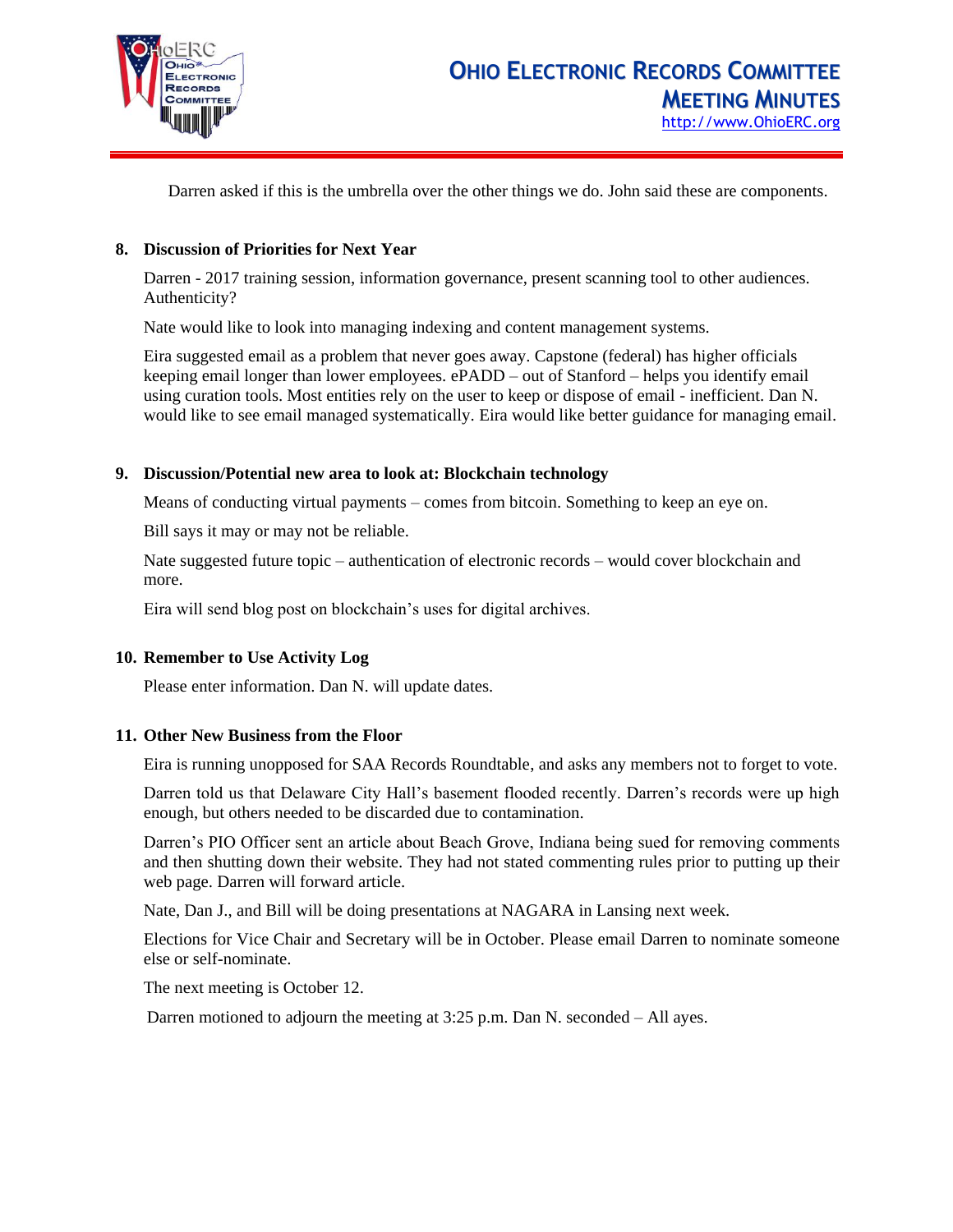

Darren asked if this is the umbrella over the other things we do. John said these are components.

#### **8. Discussion of Priorities for Next Year**

Darren - 2017 training session, information governance, present scanning tool to other audiences. Authenticity?

Nate would like to look into managing indexing and content management systems.

Eira suggested email as a problem that never goes away. Capstone (federal) has higher officials keeping email longer than lower employees. ePADD – out of Stanford – helps you identify email using curation tools. Most entities rely on the user to keep or dispose of email - inefficient. Dan N. would like to see email managed systematically. Eira would like better guidance for managing email.

#### **9. Discussion/Potential new area to look at: Blockchain technology**

Means of conducting virtual payments – comes from bitcoin. Something to keep an eye on.

Bill says it may or may not be reliable.

Nate suggested future topic – authentication of electronic records – would cover blockchain and more.

Eira will send blog post on blockchain's uses for digital archives.

#### **10. Remember to Use Activity Log**

Please enter information. Dan N. will update dates.

#### **11. Other New Business from the Floor**

Eira is running unopposed for SAA Records Roundtable, and asks any members not to forget to vote.

Darren told us that Delaware City Hall's basement flooded recently. Darren's records were up high enough, but others needed to be discarded due to contamination.

Darren's PIO Officer sent an article about Beach Grove, Indiana being sued for removing comments and then shutting down their website. They had not stated commenting rules prior to putting up their web page. Darren will forward article.

Nate, Dan J., and Bill will be doing presentations at NAGARA in Lansing next week.

Elections for Vice Chair and Secretary will be in October. Please email Darren to nominate someone else or self-nominate.

The next meeting is October 12.

Darren motioned to adjourn the meeting at 3:25 p.m. Dan N. seconded – All ayes.